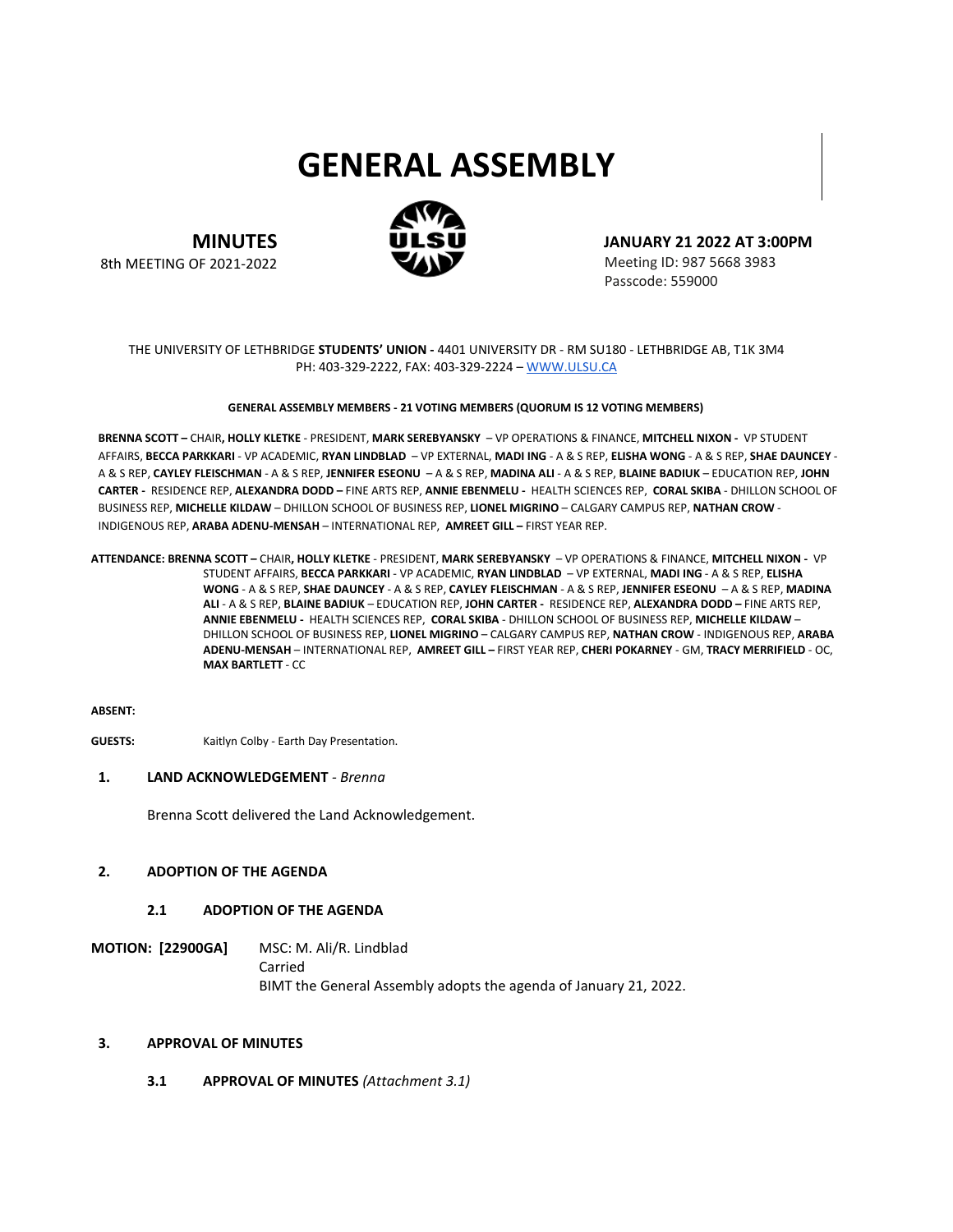# **GENERAL ASSEMBLY**



**MINUTES** 8th MEETING OF 2021-2022 **JANUARY 21 2022 AT 3:00PM**

Meeting ID: 987 5668 3983 Passcode: 559000

## THE UNIVERSITY OF LETHBRIDGE **STUDENTS' UNION -** 4401 UNIVERSITY DR - RM SU180 - LETHBRIDGE AB, T1K 3M4 PH: 403-329-2222, FAX: 403-329-2224 – [WWW.ULSU.CA](http://www.ulsu.ca/)

#### **GENERAL ASSEMBLY MEMBERS - 21 VOTING MEMBERS (QUORUM IS 12 VOTING MEMBERS)**

**BRENNA SCOTT –** CHAIR**, HOLLY KLETKE** - PRESIDENT, **MARK SEREBYANSKY** – VP OPERATIONS & FINANCE, **MITCHELL NIXON -** VP STUDENT AFFAIRS, **BECCA PARKKARI** - VP ACADEMIC, **RYAN LINDBLAD** – VP EXTERNAL, **MADI ING** - A & S REP, **ELISHA WONG** - A & S REP, **SHAE DAUNCEY** - A & S REP, **CAYLEY FLEISCHMAN** - A & S REP, **JENNIFER ESEONU** – A & S REP, **MADINA ALI** - A & S REP, **BLAINE BADIUK** – EDUCATION REP, **JOHN CARTER -** RESIDENCE REP, **ALEXANDRA DODD –** FINE ARTS REP, **ANNIE EBENMELU -** HEALTH SCIENCES REP, **CORAL SKIBA** - DHILLON SCHOOL OF BUSINESS REP, **MICHELLE KILDAW** – DHILLON SCHOOL OF BUSINESS REP, **LIONEL MIGRINO** – CALGARY CAMPUS REP, **NATHAN CROW** - INDIGENOUS REP, **ARABA ADENU-MENSAH** – INTERNATIONAL REP, **AMREET GILL –** FIRST YEAR REP.

**ATTENDANCE: BRENNA SCOTT –** CHAIR**, HOLLY KLETKE** - PRESIDENT, **MARK SEREBYANSKY** – VP OPERATIONS & FINANCE, **MITCHELL NIXON -** VP STUDENT AFFAIRS, **BECCA PARKKARI** - VP ACADEMIC, **RYAN LINDBLAD** – VP EXTERNAL, **MADI ING** - A & S REP, **ELISHA WONG** - A & S REP, **SHAE DAUNCEY** - A & S REP, **CAYLEY FLEISCHMAN** - A & S REP, **JENNIFER ESEONU** – A & S REP, **MADINA ALI** - A & S REP, **BLAINE BADIUK** – EDUCATION REP, **JOHN CARTER -** RESIDENCE REP, **ALEXANDRA DODD –** FINE ARTS REP, **ANNIE EBENMELU -** HEALTH SCIENCES REP, **CORAL SKIBA** - DHILLON SCHOOL OF BUSINESS REP, **MICHELLE KILDAW** – DHILLON SCHOOL OF BUSINESS REP, **LIONEL MIGRINO** – CALGARY CAMPUS REP, **NATHAN CROW** - INDIGENOUS REP, **ARABA ADENU-MENSAH** – INTERNATIONAL REP, **AMREET GILL –** FIRST YEAR REP, **CHERI POKARNEY** - GM, **TRACY MERRIFIELD** - OC, **MAX BARTLETT** - CC

#### **ABSENT:**

**GUESTS:** Kaitlyn Colby - Earth Day Presentation.

# **1. LAND ACKNOWLEDGEMENT** *- Brenna*

Brenna Scott delivered the Land Acknowledgement.

## **2. ADOPTION OF THE AGENDA**

## **2.1 ADOPTION OF THE AGENDA**

**MOTION: [22900GA]** MSC: M. Ali/R. Lindblad Carried BIMT the General Assembly adopts the agenda of January 21, 2022.

#### **3. APPROVAL OF MINUTES**

**3.1 APPROVAL OF MINUTES** *(Attachment 3.1)*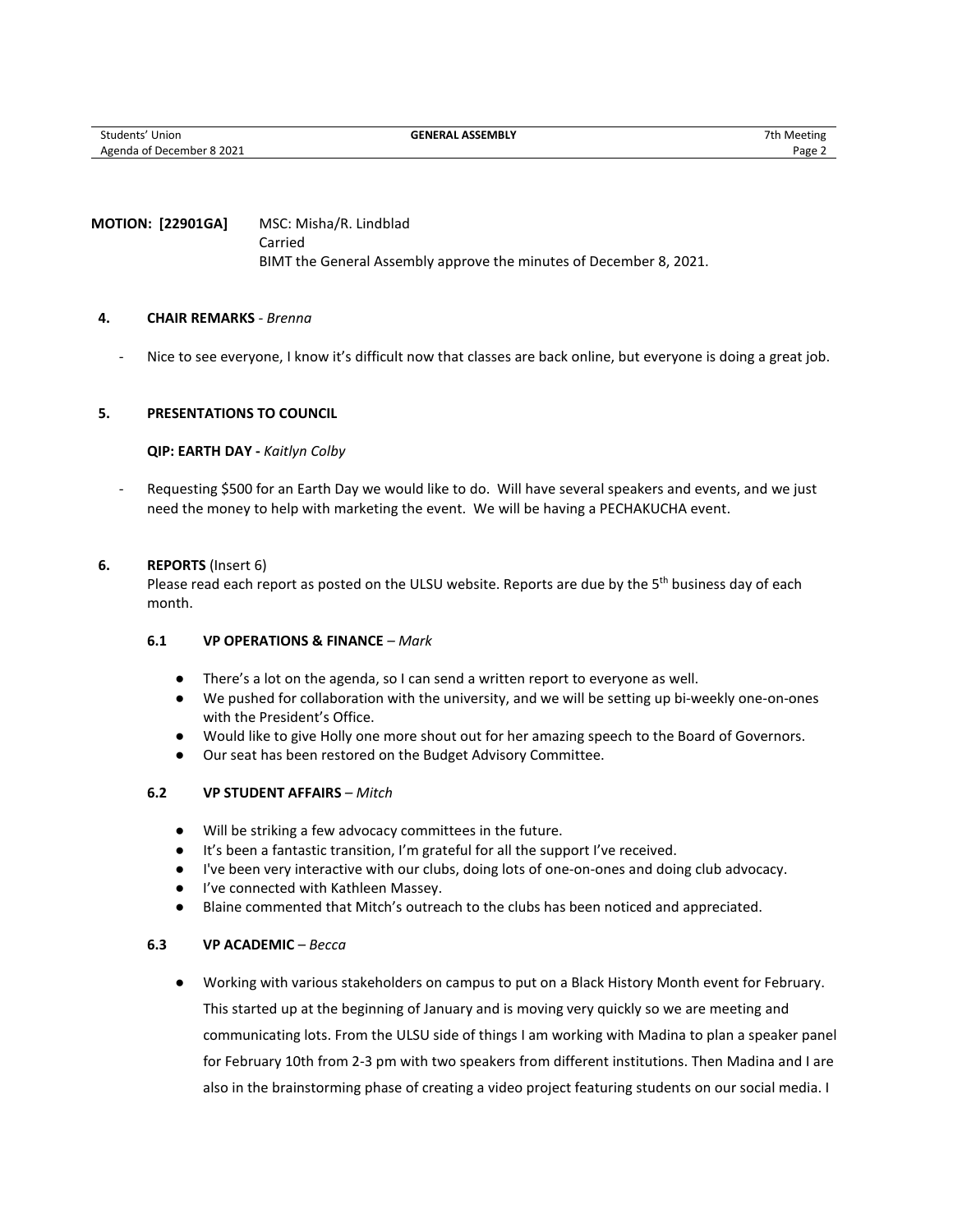# **MOTION: [22901GA]** MSC: Misha/R. Lindblad Carried BIMT the General Assembly approve the minutes of December 8, 2021.

# **4. CHAIR REMARKS** *- Brenna*

- Nice to see everyone, I know it's difficult now that classes are back online, but everyone is doing a great job.

# **5. PRESENTATIONS TO COUNCIL**

## **QIP: EARTH DAY -** *Kaitlyn Colby*

Requesting \$500 for an Earth Day we would like to do. Will have several speakers and events, and we just need the money to help with marketing the event. We will be having a PECHAKUCHA event.

## **6. REPORTS** (Insert 6)

Please read each report as posted on the ULSU website. Reports are due by the 5<sup>th</sup> business day of each month.

# **6.1 VP OPERATIONS & FINANCE** *– Mark*

- There's a lot on the agenda, so I can send a written report to everyone as well.
- We pushed for collaboration with the university, and we will be setting up bi-weekly one-on-ones with the President's Office.
- Would like to give Holly one more shout out for her amazing speech to the Board of Governors.
- Our seat has been restored on the Budget Advisory Committee.

# **6.2 VP STUDENT AFFAIRS** *– Mitch*

- Will be striking a few advocacy committees in the future.
- It's been a fantastic transition, I'm grateful for all the support I've received.
- I've been very interactive with our clubs, doing lots of one-on-ones and doing club advocacy.
- I've connected with Kathleen Massey.
- Blaine commented that Mitch's outreach to the clubs has been noticed and appreciated.

## **6.3 VP ACADEMIC** *– Becca*

● Working with various stakeholders on campus to put on a Black History Month event for February. This started up at the beginning of January and is moving very quickly so we are meeting and communicating lots. From the ULSU side of things I am working with Madina to plan a speaker panel for February 10th from 2-3 pm with two speakers from different institutions. Then Madina and I are also in the brainstorming phase of creating a video project featuring students on our social media. I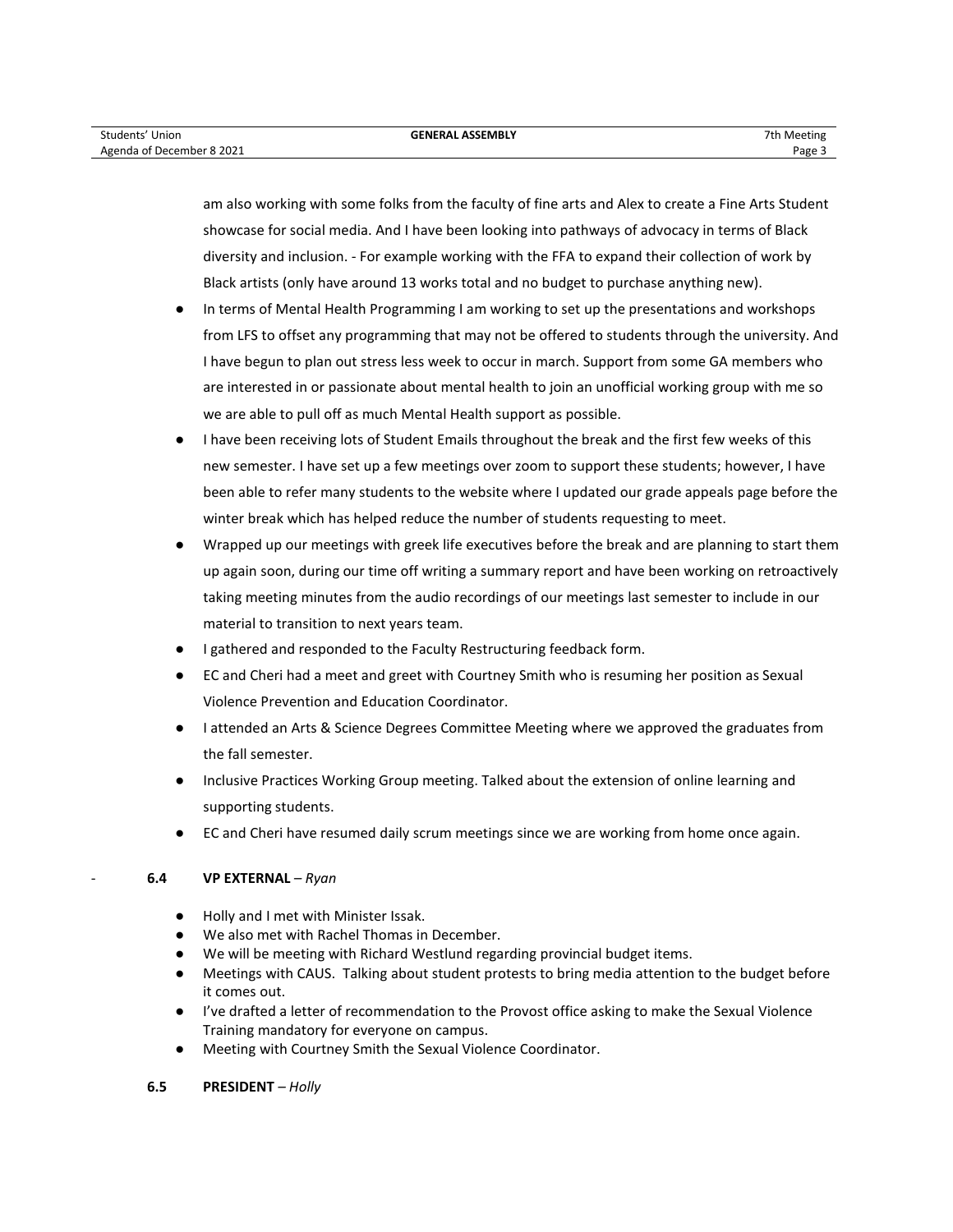am also working with some folks from the faculty of fine arts and Alex to create a Fine Arts Student showcase for social media. And I have been looking into pathways of advocacy in terms of Black diversity and inclusion. - For example working with the FFA to expand their collection of work by Black artists (only have around 13 works total and no budget to purchase anything new).

- In terms of Mental Health Programming I am working to set up the presentations and workshops from LFS to offset any programming that may not be offered to students through the university. And I have begun to plan out stress less week to occur in march. Support from some GA members who are interested in or passionate about mental health to join an unofficial working group with me so we are able to pull off as much Mental Health support as possible.
- I have been receiving lots of Student Emails throughout the break and the first few weeks of this new semester. I have set up a few meetings over zoom to support these students; however, I have been able to refer many students to the website where I updated our grade appeals page before the winter break which has helped reduce the number of students requesting to meet.
- Wrapped up our meetings with greek life executives before the break and are planning to start them up again soon, during our time off writing a summary report and have been working on retroactively taking meeting minutes from the audio recordings of our meetings last semester to include in our material to transition to next years team.
- I gathered and responded to the Faculty Restructuring feedback form.
- EC and Cheri had a meet and greet with Courtney Smith who is resuming her position as Sexual Violence Prevention and Education Coordinator.
- I attended an Arts & Science Degrees Committee Meeting where we approved the graduates from the fall semester.
- Inclusive Practices Working Group meeting. Talked about the extension of online learning and supporting students.
- EC and Cheri have resumed daily scrum meetings since we are working from home once again.

# - **6.4 VP EXTERNAL** *– Ryan*

- Holly and I met with Minister Issak.
- We also met with Rachel Thomas in December.
- We will be meeting with Richard Westlund regarding provincial budget items.
- Meetings with CAUS. Talking about student protests to bring media attention to the budget before it comes out.
- I've drafted a letter of recommendation to the Provost office asking to make the Sexual Violence Training mandatory for everyone on campus.
- Meeting with Courtney Smith the Sexual Violence Coordinator.

# **6.5 PRESIDENT** *– Holly*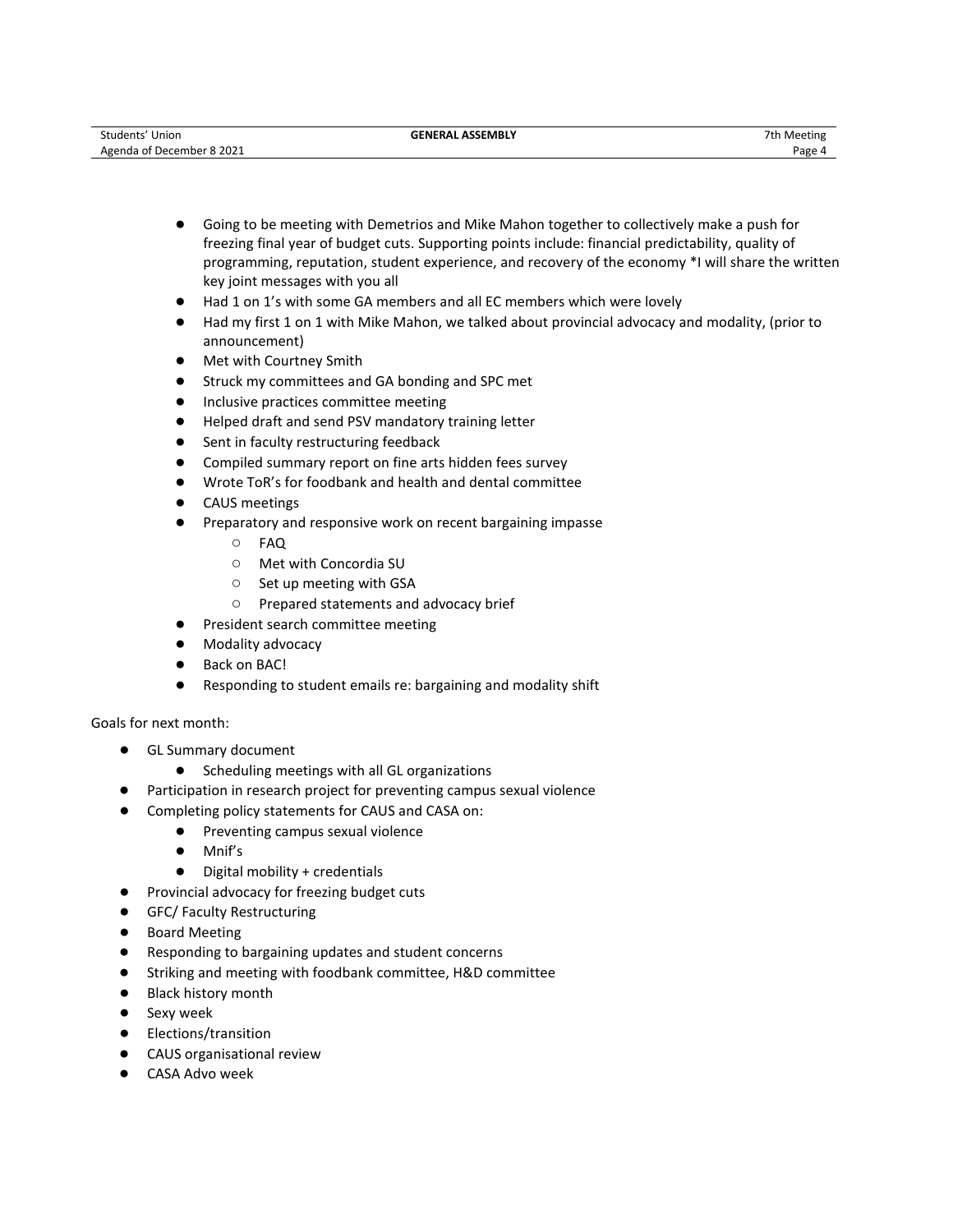- Going to be meeting with Demetrios and Mike Mahon together to collectively make a push for freezing final year of budget cuts. Supporting points include: financial predictability, quality of programming, reputation, student experience, and recovery of the economy \*I will share the written key joint messages with you all
- Had 1 on 1's with some GA members and all EC members which were lovely
- Had my first 1 on 1 with Mike Mahon, we talked about provincial advocacy and modality, (prior to announcement)
- Met with Courtney Smith
- Struck my committees and GA bonding and SPC met
- Inclusive practices committee meeting
- Helped draft and send PSV mandatory training letter
- Sent in faculty restructuring feedback
- Compiled summary report on fine arts hidden fees survey
- Wrote ToR's for foodbank and health and dental committee
- CAUS meetings
- Preparatory and responsive work on recent bargaining impasse
	- FAQ
	- Met with Concordia SU
	- Set up meeting with GSA
	- Prepared statements and advocacy brief
- President search committee meeting
- Modality advocacy
- Back on BAC!
- Responding to student emails re: bargaining and modality shift

Goals for next month:

- GL Summary document
	- Scheduling meetings with all GL organizations
- Participation in research project for preventing campus sexual violence
- Completing policy statements for CAUS and CASA on:
	- Preventing campus sexual violence
	- Mnif's
	- Digital mobility + credentials
- Provincial advocacy for freezing budget cuts
- GFC/ Faculty Restructuring
- Board Meeting
- Responding to bargaining updates and student concerns
- Striking and meeting with foodbank committee, H&D committee
- Black history month
- Sexy week
- Elections/transition
- CAUS organisational review
- CASA Advo week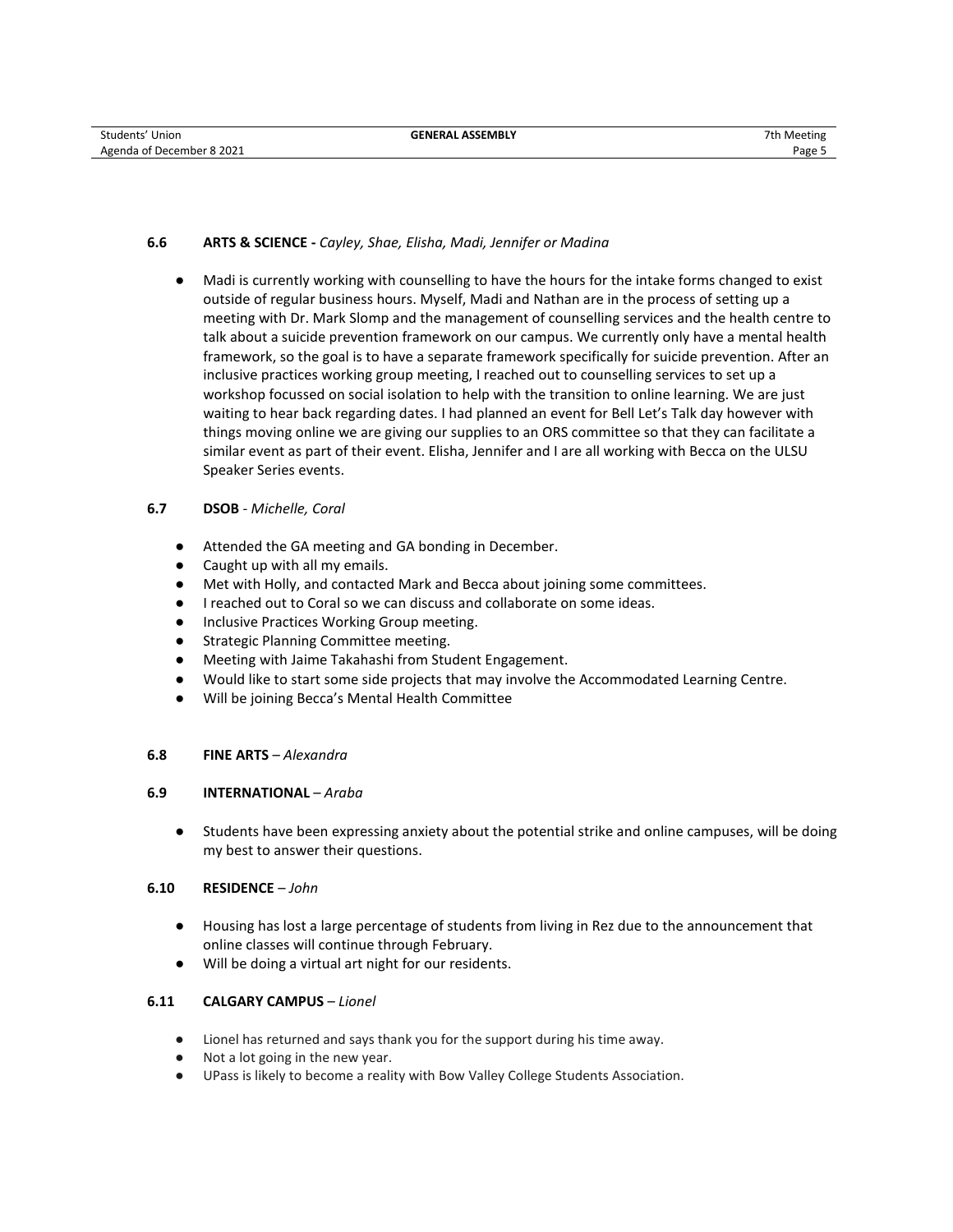# **6.6 ARTS & SCIENCE -** *Cayley, Shae, Elisha, Madi, Jennifer or Madina*

● Madi is currently working with counselling to have the hours for the intake forms changed to exist outside of regular business hours. Myself, Madi and Nathan are in the process of setting up a meeting with Dr. Mark Slomp and the management of counselling services and the health centre to talk about a suicide prevention framework on our campus. We currently only have a mental health framework, so the goal is to have a separate framework specifically for suicide prevention. After an inclusive practices working group meeting, I reached out to counselling services to set up a workshop focussed on social isolation to help with the transition to online learning. We are just waiting to hear back regarding dates. I had planned an event for Bell Let's Talk day however with things moving online we are giving our supplies to an ORS committee so that they can facilitate a similar event as part of their event. Elisha, Jennifer and I are all working with Becca on the ULSU Speaker Series events.

# **6.7 DSOB** - *Michelle, Coral*

- Attended the GA meeting and GA bonding in December.
- Caught up with all my emails.
- Met with Holly, and contacted Mark and Becca about joining some committees.
- I reached out to Coral so we can discuss and collaborate on some ideas.
- Inclusive Practices Working Group meeting.
- Strategic Planning Committee meeting.
- Meeting with Jaime Takahashi from Student Engagement.
- Would like to start some side projects that may involve the Accommodated Learning Centre.
- Will be joining Becca's Mental Health Committee

## **6.8 FINE ARTS** – *Alexandra*

## **6.9 INTERNATIONAL** – *Araba*

● Students have been expressing anxiety about the potential strike and online campuses, will be doing my best to answer their questions.

## **6.10 RESIDENCE** – *John*

- Housing has lost a large percentage of students from living in Rez due to the announcement that online classes will continue through February.
- Will be doing a virtual art night for our residents.

## **6.11 CALGARY CAMPUS** – *Lionel*

- Lionel has returned and says thank you for the support during his time away.
- Not a lot going in the new year.
- UPass is likely to become a reality with Bow Valley College Students Association.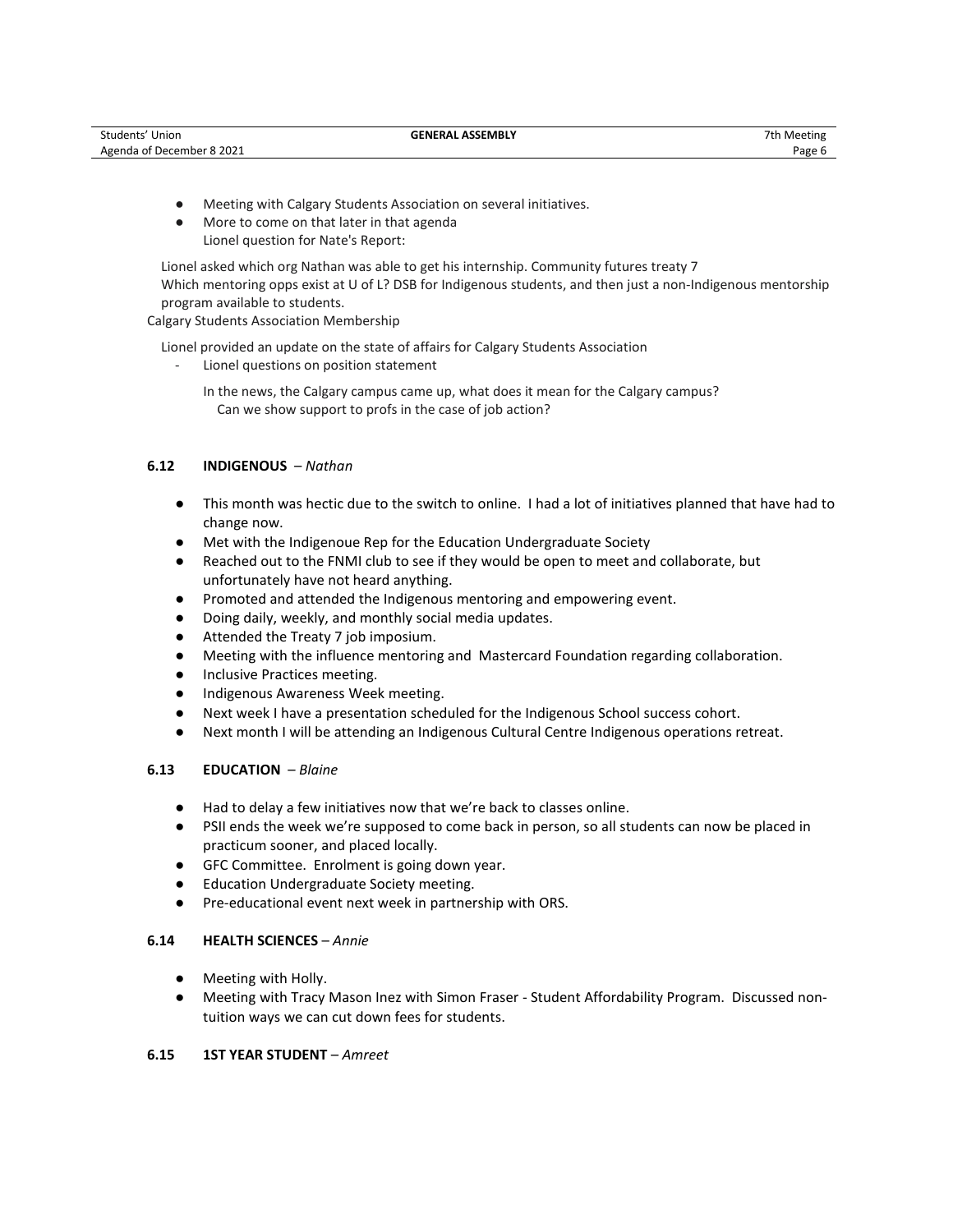- Meeting with Calgary Students Association on several initiatives.
- More to come on that later in that agenda Lionel question for Nate's Report:

Lionel asked which org Nathan was able to get his internship. Community futures treaty 7 Which mentoring opps exist at U of L? DSB for Indigenous students, and then just a non-Indigenous mentorship program available to students.

Calgary Students Association Membership

Lionel provided an update on the state of affairs for Calgary Students Association

- Lionel questions on position statement
	- In the news, the Calgary campus came up, what does it mean for the Calgary campus? Can we show support to profs in the case of job action?

# **6.12 INDIGENOUS** – *Nathan*

- This month was hectic due to the switch to online. I had a lot of initiatives planned that have had to change now.
- Met with the Indigenoue Rep for the Education Undergraduate Society
- Reached out to the FNMI club to see if they would be open to meet and collaborate, but unfortunately have not heard anything.
- Promoted and attended the Indigenous mentoring and empowering event.
- Doing daily, weekly, and monthly social media updates.
- Attended the Treaty 7 job imposium.
- Meeting with the influence mentoring and Mastercard Foundation regarding collaboration.
- Inclusive Practices meeting.
- Indigenous Awareness Week meeting.
- Next week I have a presentation scheduled for the Indigenous School success cohort.
- Next month I will be attending an Indigenous Cultural Centre Indigenous operations retreat.

# **6.13 EDUCATION** – *Blaine*

- Had to delay a few initiatives now that we're back to classes online.
- PSII ends the week we're supposed to come back in person, so all students can now be placed in practicum sooner, and placed locally.
- GFC Committee. Enrolment is going down year.
- **Education Undergraduate Society meeting.**
- Pre-educational event next week in partnership with ORS.

# **6.14 HEALTH SCIENCES** – *Annie*

- Meeting with Holly.
- Meeting with Tracy Mason Inez with Simon Fraser Student Affordability Program. Discussed nontuition ways we can cut down fees for students.

# **6.15 1ST YEAR STUDENT** – *Amreet*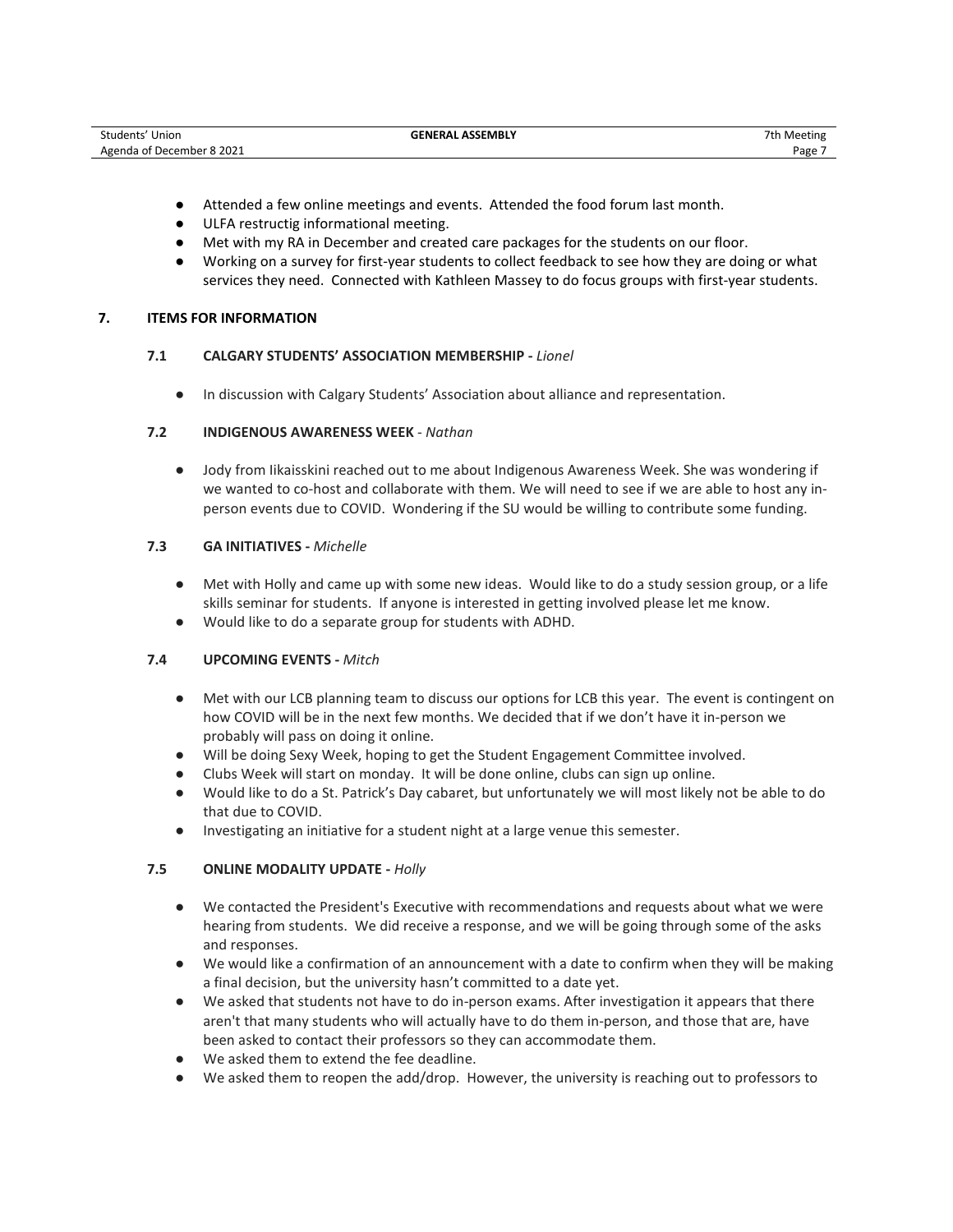- Attended a few online meetings and events. Attended the food forum last month.
- ULFA restructig informational meeting.
- Met with my RA in December and created care packages for the students on our floor.
- Working on a survey for first-year students to collect feedback to see how they are doing or what services they need. Connected with Kathleen Massey to do focus groups with first-year students.

# **7. ITEMS FOR INFORMATION**

# **7.1 CALGARY STUDENTS' ASSOCIATION MEMBERSHIP -** *Lionel*

● In discussion with Calgary Students' Association about alliance and representation.

# **7.2 INDIGENOUS AWARENESS WEEK** - *Nathan*

● Jody from Iikaisskini reached out to me about Indigenous Awareness Week. She was wondering if we wanted to co-host and collaborate with them. We will need to see if we are able to host any inperson events due to COVID. Wondering if the SU would be willing to contribute some funding.

# **7.3 GA INITIATIVES -** *Michelle*

- Met with Holly and came up with some new ideas. Would like to do a study session group, or a life skills seminar for students. If anyone is interested in getting involved please let me know.
- Would like to do a separate group for students with ADHD.

# **7.4 UPCOMING EVENTS -** *Mitch*

- Met with our LCB planning team to discuss our options for LCB this year. The event is contingent on how COVID will be in the next few months. We decided that if we don't have it in-person we probably will pass on doing it online.
- Will be doing Sexy Week, hoping to get the Student Engagement Committee involved.
- Clubs Week will start on monday. It will be done online, clubs can sign up online.
- Would like to do a St. Patrick's Day cabaret, but unfortunately we will most likely not be able to do that due to COVID.
- Investigating an initiative for a student night at a large venue this semester.

# **7.5 ONLINE MODALITY UPDATE -** *Holly*

- We contacted the President's Executive with recommendations and requests about what we were hearing from students. We did receive a response, and we will be going through some of the asks and responses.
- We would like a confirmation of an announcement with a date to confirm when they will be making a final decision, but the university hasn't committed to a date yet.
- We asked that students not have to do in-person exams. After investigation it appears that there aren't that many students who will actually have to do them in-person, and those that are, have been asked to contact their professors so they can accommodate them.
- We asked them to extend the fee deadline.
- We asked them to reopen the add/drop. However, the university is reaching out to professors to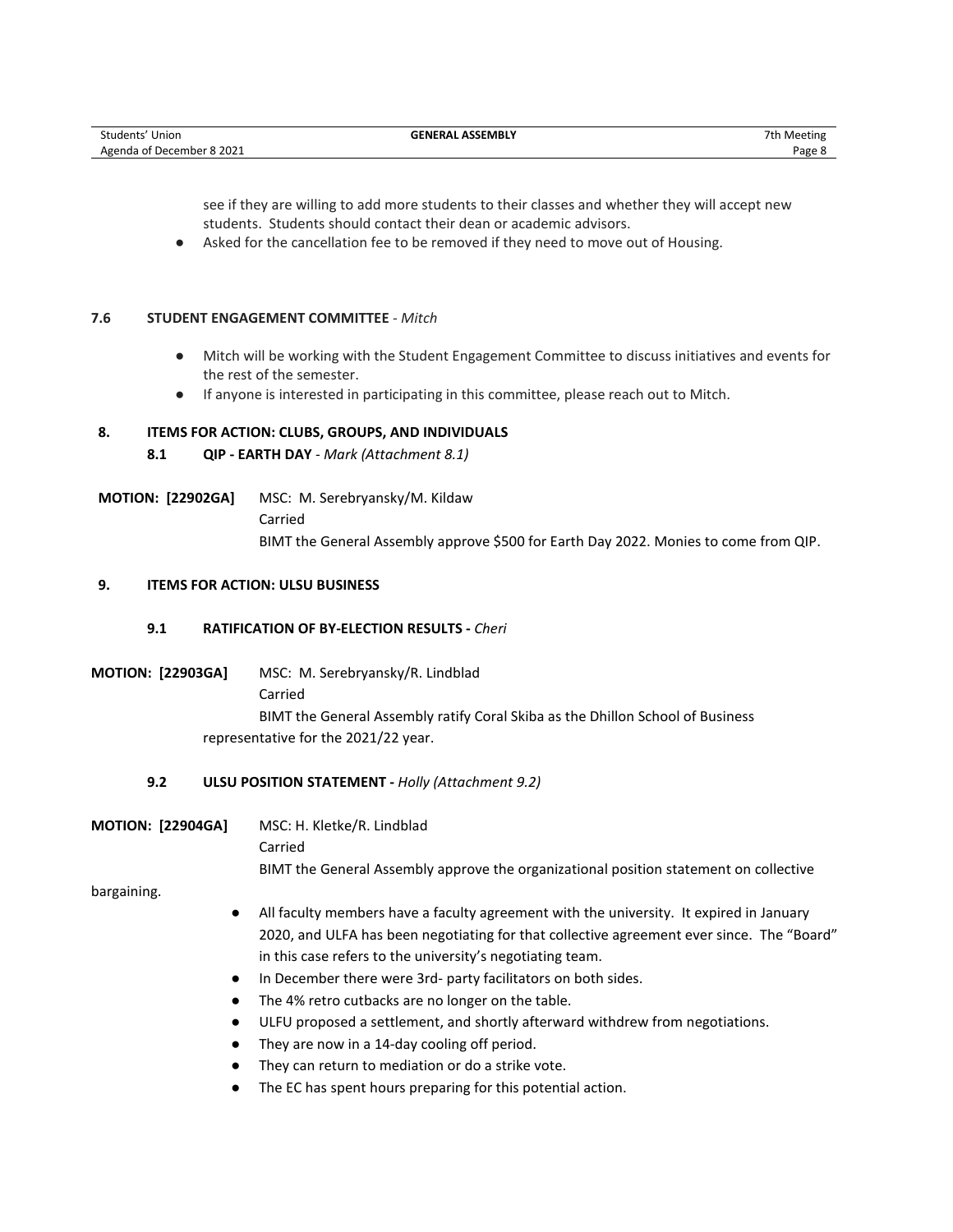see if they are willing to add more students to their classes and whether they will accept new students. Students should contact their dean or academic advisors.

Asked for the cancellation fee to be removed if they need to move out of Housing.

## **7.6 STUDENT ENGAGEMENT COMMITTEE** - *Mitch*

- Mitch will be working with the Student Engagement Committee to discuss initiatives and events for the rest of the semester.
- If anyone is interested in participating in this committee, please reach out to Mitch.

# **8. ITEMS FOR ACTION: CLUBS, GROUPS, AND INDIVIDUALS**

- **8.1 QIP - EARTH DAY**  *Mark (Attachment 8.1)*
- **MOTION: [22902GA]** MSC: M. Serebryansky/M. Kildaw Carried BIMT the General Assembly approve \$500 for Earth Day 2022. Monies to come from QIP.

# **9. ITEMS FOR ACTION: ULSU BUSINESS**

# **9.1 RATIFICATION OF BY-ELECTION RESULTS -** *Cheri*

**MOTION: [22903GA]** MSC: M. Serebryansky/R. Lindblad Carried BIMT the General Assembly ratify Coral Skiba as the Dhillon School of Business representative for the 2021/22 year.

# **9.2 ULSU POSITION STATEMENT -** *Holly (Attachment 9.2)*

**MOTION: [22904GA]** MSC: H. Kletke/R. Lindblad

Carried

BIMT the General Assembly approve the organizational position statement on collective

bargaining.

- All faculty members have a faculty agreement with the university. It expired in January 2020, and ULFA has been negotiating for that collective agreement ever since. The "Board" in this case refers to the university's negotiating team.
- In December there were 3rd- party facilitators on both sides.
- The 4% retro cutbacks are no longer on the table.
- ULFU proposed a settlement, and shortly afterward withdrew from negotiations.
- They are now in a 14-day cooling off period.
- They can return to mediation or do a strike vote.
- The EC has spent hours preparing for this potential action.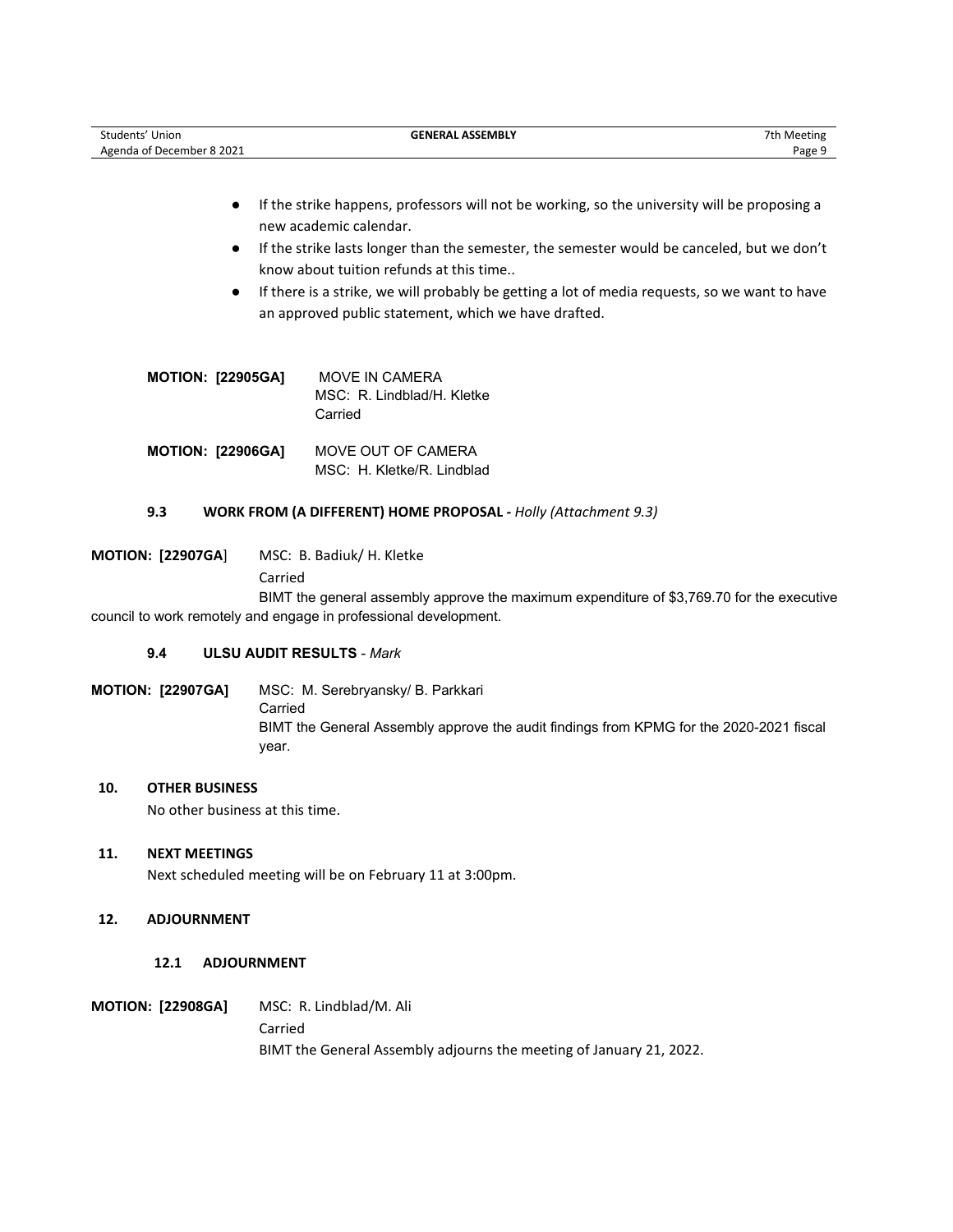| Students' Union           | <b>GENERAL ASSEMBLY</b> | 7th Meeting |
|---------------------------|-------------------------|-------------|
| Agenda of December 8 2021 |                         | Page        |

- If the strike happens, professors will not be working, so the university will be proposing a new academic calendar.
- If the strike lasts longer than the semester, the semester would be canceled, but we don't know about tuition refunds at this time..
- If there is a strike, we will probably be getting a lot of media requests, so we want to have an approved public statement, which we have drafted.

| <b>MOTION: [22905GA]</b> | MOVE IN CAMERA<br>MSC: R. Lindblad/H. Kletke<br>Carried |
|--------------------------|---------------------------------------------------------|
| MOTION: [22906GA]        | MOVE OUT OF CAMERA<br>MSC: H. Kletke/R. Lindblad        |

# **9.3 WORK FROM (A DIFFERENT) HOME PROPOSAL -** *Holly (Attachment 9.3)*

**MOTION: [22907GA**] MSC: B. Badiuk/ H. Kletke Carried

BIMT the general assembly approve the maximum expenditure of \$3,769.70 for the executive council to work remotely and engage in professional development.

## **9.4 ULSU AUDIT RESULTS** - *Mark*

**MOTION: [22907GA]** MSC: M. Serebryansky/ B. Parkkari Carried BIMT the General Assembly approve the audit findings from KPMG for the 2020-2021 fiscal year.

# **10. OTHER BUSINESS**

No other business at this time.

## **11. NEXT MEETINGS**

Next scheduled meeting will be on February 11 at 3:00pm.

# **12. ADJOURNMENT**

## **12.1 ADJOURNMENT**

**MOTION: [22908GA]** MSC:R. Lindblad/M. Ali

Carried BIMT the General Assembly adjourns the meeting of January 21, 2022.